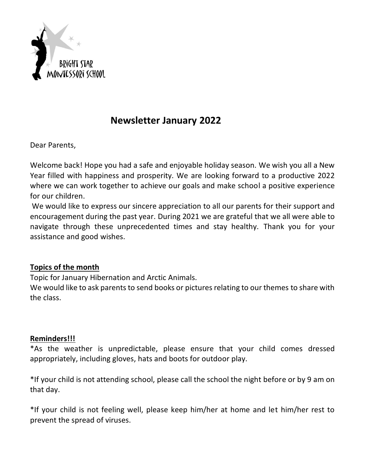

## **Newsletter January 2022**

Dear Parents,

Welcome back! Hope you had a safe and enjoyable holiday season. We wish you all a New Year filled with happiness and prosperity. We are looking forward to a productive 2022 where we can work together to achieve our goals and make school a positive experience for our children.

We would like to express our sincere appreciation to all our parents for their support and encouragement during the past year. During 2021 we are grateful that we all were able to navigate through these unprecedented times and stay healthy. Thank you for your assistance and good wishes.

## **Topics of the month**

Topic for January Hibernation and Arctic Animals.

We would like to ask parents to send books or pictures relating to our themes to share with the class.

## **Reminders!!!**

\*As the weather is unpredictable, please ensure that your child comes dressed appropriately, including gloves, hats and boots for outdoor play.

\*If your child is not attending school, please call the school the night before or by 9 am on that day.

\*If your child is not feeling well, please keep him/her at home and let him/her rest to prevent the spread of viruses.